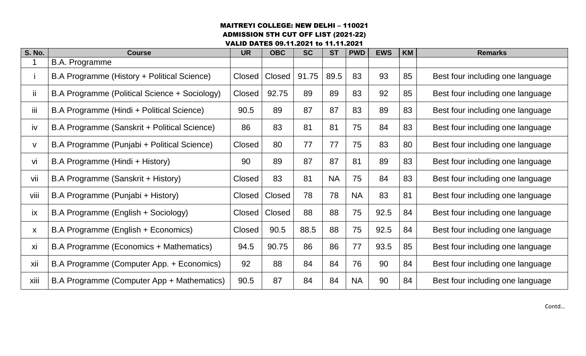### MAITREYI COLLEGE: NEW DELHI – 110021 ADMISSION 5TH CUT OFF LIST (2021-22)

VALID DATES 09.11.2021 to 11.11.2021

| <b>S. No.</b> | <b>Course</b>                                 | <b>UR</b> | <b>OBC</b>    | <b>SC</b> | <b>ST</b> | <b>PWD</b> | <b>EWS</b> | <b>KM</b> | <b>Remarks</b>                   |
|---------------|-----------------------------------------------|-----------|---------------|-----------|-----------|------------|------------|-----------|----------------------------------|
|               | <b>B.A. Programme</b>                         |           |               |           |           |            |            |           |                                  |
|               | B.A Programme (History + Political Science)   | Closed    | Closed        | 91.75     | 89.5      | 83         | 93         | 85        | Best four including one language |
| ij.           | B.A Programme (Political Science + Sociology) | Closed    | 92.75         | 89        | 89        | 83         | 92         | 85        | Best four including one language |
| iii           | B.A Programme (Hindi + Political Science)     | 90.5      | 89            | 87        | 87        | 83         | 89         | 83        | Best four including one language |
| iv            | B.A Programme (Sanskrit + Political Science)  | 86        | 83            | 81        | 81        | 75         | 84         | 83        | Best four including one language |
| V             | B.A Programme (Punjabi + Political Science)   | Closed    | 80            | 77        | 77        | 75         | 83         | 80        | Best four including one language |
| vi            | B.A Programme (Hindi + History)               | 90        | 89            | 87        | 87        | 81         | 89         | 83        | Best four including one language |
| vii           | B.A Programme (Sanskrit + History)            | Closed    | 83            | 81        | <b>NA</b> | 75         | 84         | 83        | Best four including one language |
| viii          | B.A Programme (Punjabi + History)             | Closed    | <b>Closed</b> | 78        | 78        | <b>NA</b>  | 83         | 81        | Best four including one language |
| ix            | B.A Programme (English + Sociology)           | Closed    | Closed        | 88        | 88        | 75         | 92.5       | 84        | Best four including one language |
| X             | B.A Programme (English + Economics)           | Closed    | 90.5          | 88.5      | 88        | 75         | 92.5       | 84        | Best four including one language |
| xi            | B.A Programme (Economics + Mathematics)       | 94.5      | 90.75         | 86        | 86        | 77         | 93.5       | 85        | Best four including one language |
| xii           | B.A Programme (Computer App. + Economics)     | 92        | 88            | 84        | 84        | 76         | 90         | 84        | Best four including one language |
| xiii          | B.A Programme (Computer App + Mathematics)    | 90.5      | 87            | 84        | 84        | <b>NA</b>  | 90         | 84        | Best four including one language |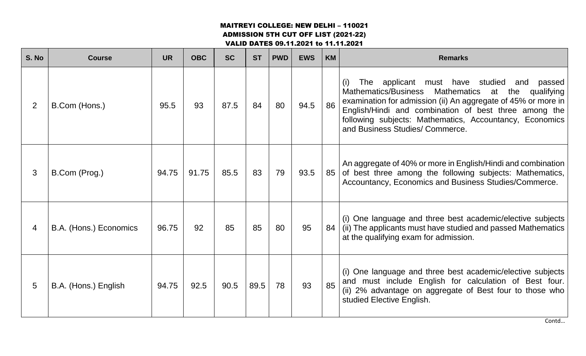ADMISSION 5TH CUT OFF LIST (2021-22)

VALID DATES 09.11.2021 to 11.11.2021

| S. No          | <b>Course</b>          | <b>UR</b> | <b>OBC</b> | <b>SC</b> | <b>ST</b> | <b>PWD</b> | <b>EWS</b> | <b>KM</b> | <b>Remarks</b>                                                                                                                                                                                                                                                                                                                                           |
|----------------|------------------------|-----------|------------|-----------|-----------|------------|------------|-----------|----------------------------------------------------------------------------------------------------------------------------------------------------------------------------------------------------------------------------------------------------------------------------------------------------------------------------------------------------------|
| $\overline{2}$ | B.Com (Hons.)          | 95.5      | 93         | 87.5      | 84        | 80         | 94.5       | 86        | The applicant must have studied<br>(i)<br>passed<br>and<br>Mathematics/Business<br><b>Mathematics</b><br>qualifying<br>at<br>the<br>examination for admission (ii) An aggregate of 45% or more in<br>English/Hindi and combination of best three among the<br>following subjects: Mathematics, Accountancy, Economics<br>and Business Studies/ Commerce. |
| 3              | B.Com (Prog.)          | 94.75     | 91.75      | 85.5      | 83        | 79         | 93.5       | 85        | An aggregate of 40% or more in English/Hindi and combination<br>of best three among the following subjects: Mathematics,<br>Accountancy, Economics and Business Studies/Commerce.                                                                                                                                                                        |
| 4              | B.A. (Hons.) Economics | 96.75     | 92         | 85        | 85        | 80         | 95         | 84        | (i) One language and three best academic/elective subjects<br>(ii) The applicants must have studied and passed Mathematics<br>at the qualifying exam for admission.                                                                                                                                                                                      |
| 5              | B.A. (Hons.) English   | 94.75     | 92.5       | 90.5      | 89.5      | 78         | 93         | 85        | (i) One language and three best academic/elective subjects<br>and must include English for calculation of Best four.<br>(ii) 2% advantage on aggregate of Best four to those who<br>studied Elective English.                                                                                                                                            |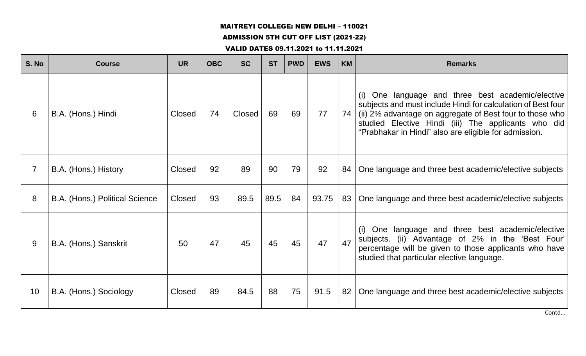## ADMISSION 5TH CUT OFF LIST (2021-22)

#### VALID DATES 09.11.2021 to 11.11.2021

| S. No          | <b>Course</b>                  | <b>UR</b> | <b>OBC</b> | <b>SC</b>     | <b>ST</b> | <b>PWD</b> | <b>EWS</b> | <b>KM</b> | <b>Remarks</b>                                                                                                                                                                                                                                                                                   |
|----------------|--------------------------------|-----------|------------|---------------|-----------|------------|------------|-----------|--------------------------------------------------------------------------------------------------------------------------------------------------------------------------------------------------------------------------------------------------------------------------------------------------|
| 6              | B.A. (Hons.) Hindi             | Closed    | 74         | <b>Closed</b> | 69        | 69         | 77         | 74        | One language and three best academic/elective<br>(i)<br>subjects and must include Hindi for calculation of Best four<br>(ii) 2% advantage on aggregate of Best four to those who<br>studied Elective Hindi (iii) The applicants who did<br>"Prabhakar in Hindi" also are eligible for admission. |
| $\overline{7}$ | B.A. (Hons.) History           | Closed    | 92         | 89            | 90        | 79         | 92         | 84        | One language and three best academic/elective subjects                                                                                                                                                                                                                                           |
| 8              | B.A. (Hons.) Political Science | Closed    | 93         | 89.5          | 89.5      | 84         | 93.75      | 83        | One language and three best academic/elective subjects                                                                                                                                                                                                                                           |
| 9              | B.A. (Hons.) Sanskrit          | 50        | 47         | 45            | 45        | 45         | 47         | 47        | (i) One language and three best academic/elective<br>subjects. (ii) Advantage of 2% in the 'Best Four'<br>percentage will be given to those applicants who have<br>studied that particular elective language.                                                                                    |
| 10             | B.A. (Hons.) Sociology         | Closed    | 89         | 84.5          | 88        | 75         | 91.5       | 82        | One language and three best academic/elective subjects                                                                                                                                                                                                                                           |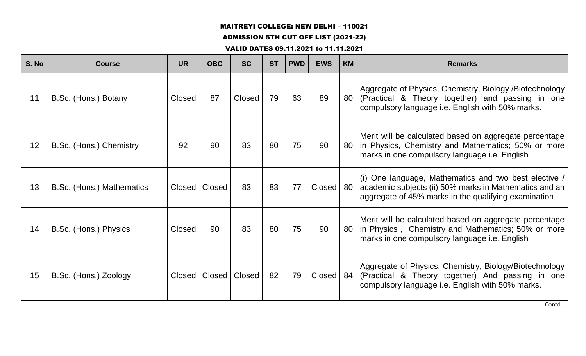## ADMISSION 5TH CUT OFF LIST (2021-22)

#### VALID DATES 09.11.2021 to 11.11.2021

| S. No | <b>Course</b>             | <b>UR</b> | <b>OBC</b>    | <b>SC</b> | <b>ST</b> | <b>PWD</b> | <b>EWS</b>    | <b>KM</b> | <b>Remarks</b>                                                                                                                                                          |
|-------|---------------------------|-----------|---------------|-----------|-----------|------------|---------------|-----------|-------------------------------------------------------------------------------------------------------------------------------------------------------------------------|
| 11    | B.Sc. (Hons.) Botany      | Closed    | 87            | Closed    | 79        | 63         | 89            | 80        | Aggregate of Physics, Chemistry, Biology /Biotechnology<br>(Practical & Theory together) and passing in one<br>compulsory language i.e. English with 50% marks.         |
| 12    | B.Sc. (Hons.) Chemistry   | 92        | 90            | 83        | 80        | 75         | 90            | 80        | Merit will be calculated based on aggregate percentage<br>in Physics, Chemistry and Mathematics; 50% or more<br>marks in one compulsory language i.e. English           |
| 13    | B.Sc. (Hons.) Mathematics | Closed    | <b>Closed</b> | 83        | 83        | 77         | Closed        | 80        | (i) One language, Mathematics and two best elective /<br>academic subjects (ii) 50% marks in Mathematics and an<br>aggregate of 45% marks in the qualifying examination |
| 14    | B.Sc. (Hons.) Physics     | Closed    | 90            | 83        | 80        | 75         | 90            | 80        | Merit will be calculated based on aggregate percentage<br>in Physics, Chemistry and Mathematics; 50% or more<br>marks in one compulsory language i.e. English           |
| 15    | B.Sc. (Hons.) Zoology     | Closed    | <b>Closed</b> | Closed    | 82        | 79         | <b>Closed</b> | 84        | Aggregate of Physics, Chemistry, Biology/Biotechnology<br>(Practical & Theory together) And passing in one<br>compulsory language i.e. English with 50% marks.          |

Contd…